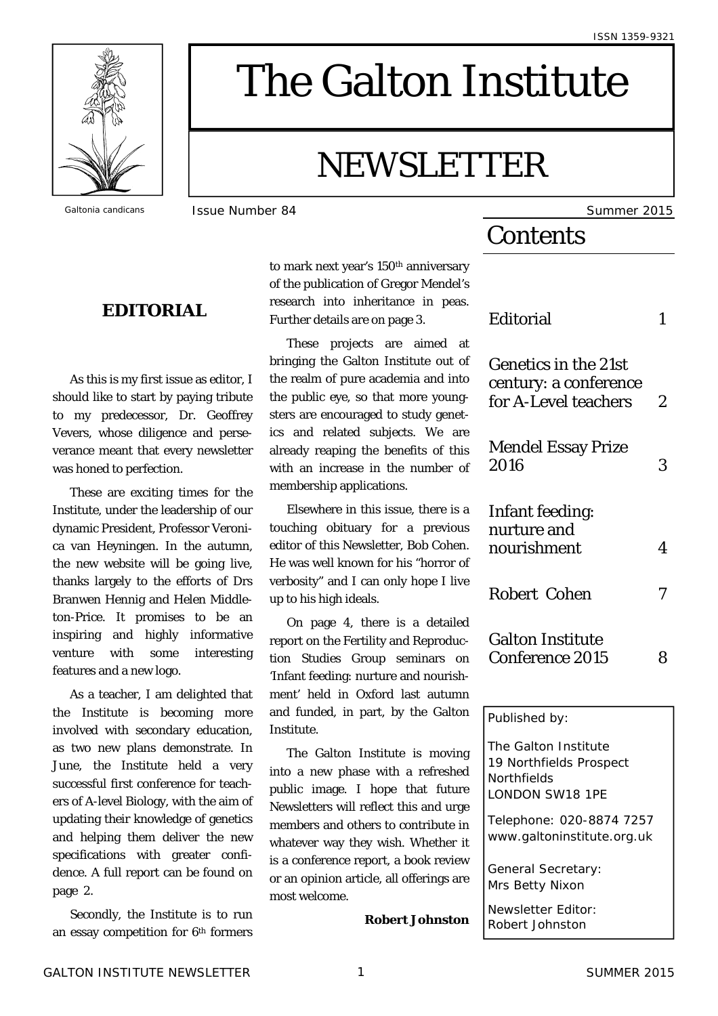

# The Galton Institute

# NEWSLETTER

# **EDITORIAL**

 As this is my first issue as editor, I should like to start by paying tribute to my predecessor, Dr. Geoffrey Vevers, whose diligence and perseverance meant that every newsletter was honed to perfection.

 These are exciting times for the Institute, under the leadership of our dynamic President, Professor Veronica van Heyningen. In the autumn, the new website will be going live, thanks largely to the efforts of Drs Branwen Hennig and Helen Middleton-Price. It promises to be an inspiring and highly informative venture with some interesting features and a new logo.

 As a teacher, I am delighted that the Institute is becoming more involved with secondary education, as two new plans demonstrate. In June, the Institute held a very successful first conference for teachers of A-level Biology, with the aim of updating their knowledge of genetics and helping them deliver the new specifications with greater confidence. A full report can be found on page 2.

 Secondly, the Institute is to run an essay competition for 6th formers to mark next year's 150<sup>th</sup> anniversary of the publication of Gregor Mendel's research into inheritance in peas. Further details are on page 3.

 These projects are aimed at bringing the Galton Institute out of the realm of pure academia and into the public eye, so that more youngsters are encouraged to study genetics and related subjects. We are already reaping the benefits of this with an increase in the number of membership applications.

 Elsewhere in this issue, there is a touching obituary for a previous editor of this Newsletter, Bob Cohen. He was well known for his "horror of verbosity" and I can only hope I live up to his high ideals.

 On page 4, there is a detailed report on the Fertility and Reproduction Studies Group seminars on 'Infant feeding: nurture and nourishment' held in Oxford last autumn and funded, in part, by the Galton Institute.

 The Galton Institute is moving into a new phase with a refreshed public image. I hope that future Newsletters will reflect this and urge members and others to contribute in whatever way they wish. Whether it is a conference report, a book review or an opinion article, all offerings are most welcome.

**Robert Johnston**

**Galtonia candicans ISSUE Number 84** Summer 2015

# **Contents**

| Editorial                                                                         | 1              |
|-----------------------------------------------------------------------------------|----------------|
| <b>Genetics in the 21st</b><br>century: a conference<br>for A-Level teachers      | $\overline{2}$ |
| <b>Mendel Essay Prize</b><br>2016                                                 | 3              |
| <b>Infant feeding:</b><br>nurture and<br>nourishment                              | 4              |
| <b>Robert Cohen</b>                                                               | 7              |
| <b>Galton Institute</b><br><b>Conference 2015</b>                                 | 8              |
| Published by:                                                                     |                |
| The Galton Institute<br>19 Northfields Prospect<br>Northfields<br>LONDON SW18 1PE |                |
| Telephone: 020-8874 7257<br>www.galtoninstitute.org.uk                            |                |
| General Secretary:<br>Mrs Betty Nixon                                             |                |

Newsletter Editor: Robert Johnston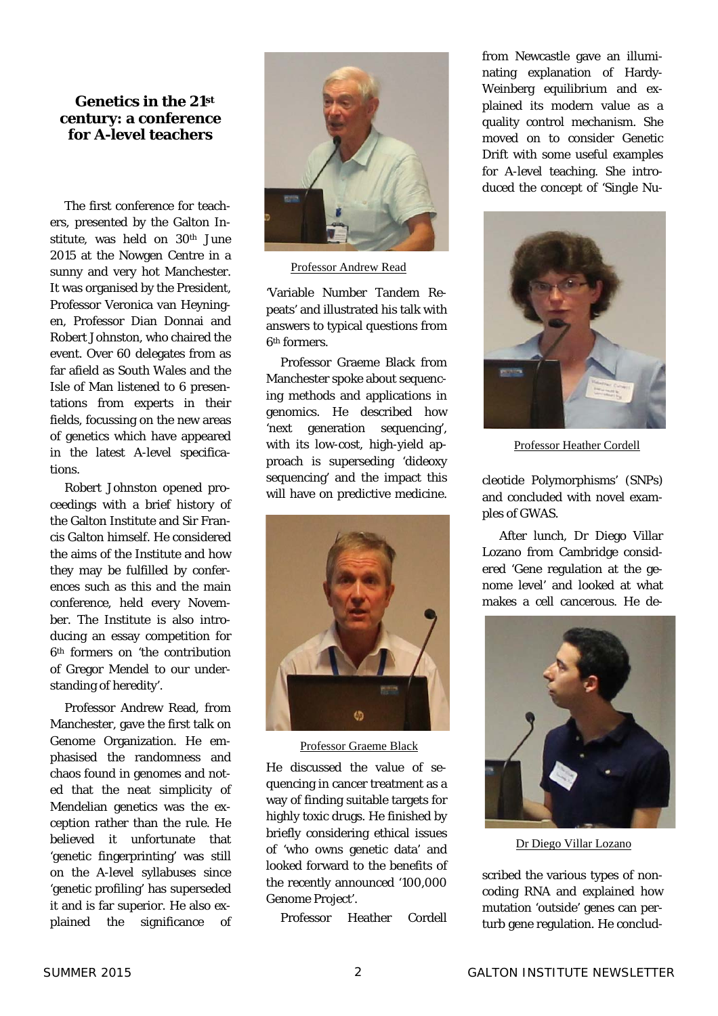#### **Genetics in the 21st century: a conference for A-level teachers**

 The first conference for teachers, presented by the Galton Institute, was held on 30<sup>th</sup> June 2015 at the Nowgen Centre in a sunny and very hot Manchester. It was organised by the President, Professor Veronica van Heyningen, Professor Dian Donnai and Robert Johnston, who chaired the event. Over 60 delegates from as far afield as South Wales and the Isle of Man listened to 6 presentations from experts in their fields, focussing on the new areas of genetics which have appeared in the latest A-level specifications.

 Robert Johnston opened proceedings with a brief history of the Galton Institute and Sir Francis Galton himself. He considered the aims of the Institute and how they may be fulfilled by conferences such as this and the main conference, held every November. The Institute is also introducing an essay competition for 6th formers on 'the contribution of Gregor Mendel to our understanding of heredity'.

 Professor Andrew Read, from Manchester, gave the first talk on Genome Organization. He emphasised the randomness and chaos found in genomes and noted that the neat simplicity of Mendelian genetics was the exception rather than the rule. He believed it unfortunate that 'genetic fingerprinting' was still on the A-level syllabuses since 'genetic profiling' has superseded it and is far superior. He also explained the significance of



Professor Andrew Read

'Variable Number Tandem Repeats' and illustrated his talk with answers to typical questions from 6th formers.

 Professor Graeme Black from Manchester spoke about sequencing methods and applications in genomics. He described how 'next generation sequencing', with its low-cost, high-yield approach is superseding 'dideoxy sequencing' and the impact this will have on predictive medicine.



Professor Graeme Black

He discussed the value of sequencing in cancer treatment as a way of finding suitable targets for highly toxic drugs. He finished by briefly considering ethical issues of 'who owns genetic data' and looked forward to the benefits of the recently announced '100,000 Genome Project'.

Professor Heather Cordell

from Newcastle gave an illuminating explanation of Hardy-Weinberg equilibrium and explained its modern value as a quality control mechanism. She moved on to consider Genetic Drift with some useful examples for A-level teaching. She introduced the concept of 'Single Nu-



Professor Heather Cordell

cleotide Polymorphisms' (SNPs) and concluded with novel examples of GWAS.

 After lunch, Dr Diego Villar Lozano from Cambridge considered 'Gene regulation at the genome level' and looked at what makes a cell cancerous. He de-



Dr Diego Villar Lozano

scribed the various types of noncoding RNA and explained how mutation 'outside' genes can perturb gene regulation. He conclud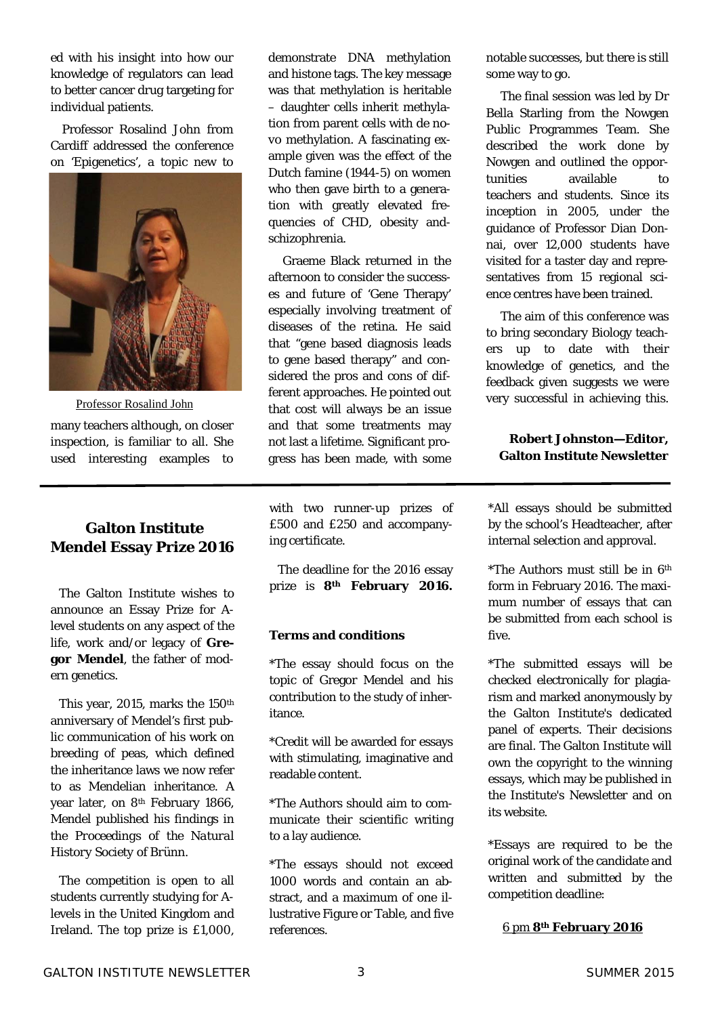ed with his insight into how our knowledge of regulators can lead to better cancer drug targeting for individual patients.

 Professor Rosalind John from Cardiff addressed the conference on 'Epigenetics', a topic new to



many teachers although, on closer inspection, is familiar to all. She used interesting examples to

### **Galton Institute Mendel Essay Prize 2016**

 The Galton Institute wishes to announce an Essay Prize for Alevel students on any aspect of the life, work and/or legacy of **Gregor Mendel**, the father of modern genetics.

This year, 2015, marks the 150<sup>th</sup> anniversary of Mendel's first public communication of his work on breeding of peas, which defined the inheritance laws we now refer to as Mendelian inheritance. A year later, on 8th February 1866, Mendel published his findings in the *Proceedings of the Natural History Society of Brünn*.

 The competition is open to all students currently studying for Alevels in the United Kingdom and Ireland. The top prize is £1,000, demonstrate DNA methylation and histone tags. The key message was that methylation is heritable – daughter cells inherit methylation from parent cells with *de novo* methylation. A fascinating example given was the effect of the Dutch famine (1944-5) on women who then gave birth to a generation with greatly elevated frequencies of CHD, obesity andschizophrenia.

 Graeme Black returned in the afternoon to consider the successes and future of 'Gene Therapy' especially involving treatment of diseases of the retina. He said that "gene based diagnosis leads to gene based therapy" and considered the pros and cons of different approaches. He pointed out that cost will always be an issue and that some treatments may not last a lifetime. Significant progress has been made, with some

with two runner-up prizes of £500 and £250 and accompanying certificate.

 The deadline for the 2016 essay prize is **8th February 2016.** 

#### **Terms and conditions**

\*The essay should focus on the topic of Gregor Mendel and his contribution to the study of inheritance.

\*Credit will be awarded for essays with stimulating, imaginative and readable content.

\*The Authors should aim to communicate their scientific writing to a lay audience.

\*The essays should not exceed 1000 words and contain an abstract, and a maximum of one illustrative Figure or Table, and five references.

notable successes, but there is still some way to go.

 The final session was led by Dr Bella Starling from the Nowgen Public Programmes Team. She described the work done by Nowgen and outlined the opportunities available to teachers and students. Since its inception in 2005, under the guidance of Professor Dian Donnai, over 12,000 students have visited for a taster day and representatives from 15 regional science centres have been trained.

 The aim of this conference was to bring secondary Biology teachers up to date with their knowledge of genetics, and the feedback given suggests we were very successful in achieving this.

#### **Robert Johnston—Editor, Galton Institute Newsletter**

\*All essays should be submitted by the school's Headteacher, after internal selection and approval.

\*The Authors must still be in 6th form in February 2016. The maximum number of essays that can be submitted from each school is five.

\*The submitted essays will be checked electronically for plagiarism and marked anonymously by the Galton Institute's dedicated panel of experts. Their decisions are final. The Galton Institute will own the copyright to the winning essays, which may be published in the Institute's Newsletter and on its website.

\*Essays are required to be the original work of the candidate and written and submitted by the competition deadline:

6 pm **8th February 2016**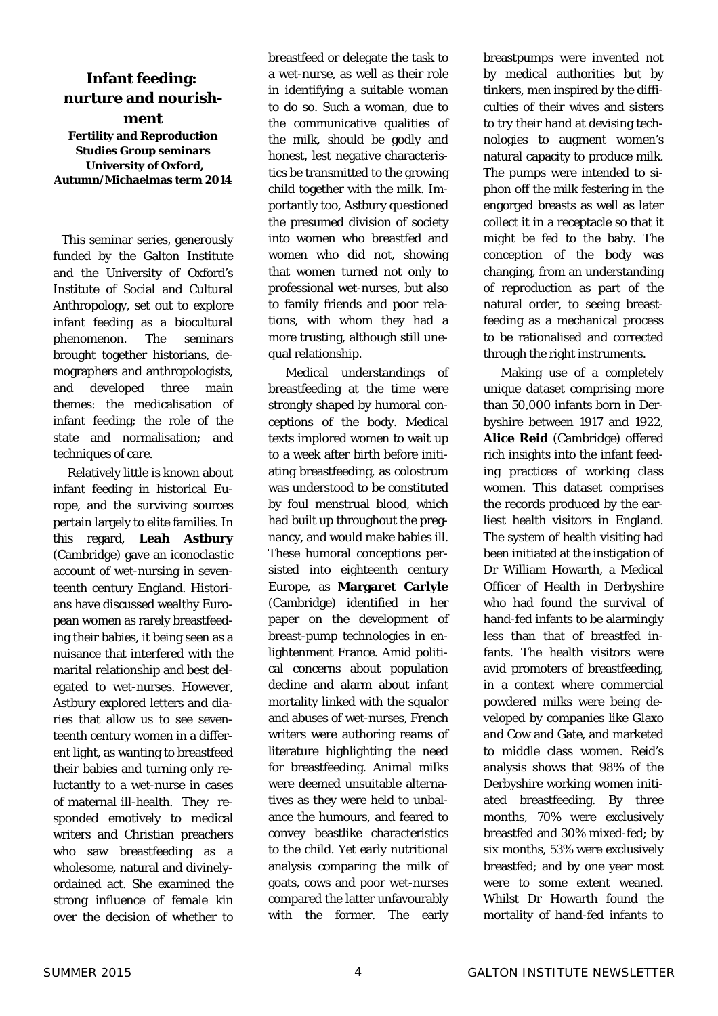# **Infant feeding: nurture and nourish-**

**ment Fertility and Reproduction Studies Group seminars University of Oxford, Autumn/Michaelmas term 2014** 

This seminar series, generously funded by the Galton Institute and the University of Oxford's Institute of Social and Cultural Anthropology, set out to explore infant feeding as a biocultural phenomenon. The seminars brought together historians, demographers and anthropologists, and developed three main themes: the medicalisation of infant feeding; the role of the state and normalisation; and techniques of care.

 Relatively little is known about infant feeding in historical Europe, and the surviving sources pertain largely to elite families. In this regard, **Leah Astbury** (Cambridge) gave an iconoclastic account of wet-nursing in seventeenth century England. Historians have discussed wealthy European women as rarely breastfeeding their babies, it being seen as a nuisance that interfered with the marital relationship and best delegated to wet-nurses. However, Astbury explored letters and diaries that allow us to see seventeenth century women in a different light, as wanting to breastfeed their babies and turning only reluctantly to a wet-nurse in cases of maternal ill-health. They responded emotively to medical writers and Christian preachers who saw breastfeeding as a wholesome, natural and divinelyordained act. She examined the strong influence of female kin over the decision of whether to breastfeed or delegate the task to a wet-nurse, as well as their role in identifying a suitable woman to do so. Such a woman, due to the communicative qualities of the milk, should be godly and honest, lest negative characteristics be transmitted to the growing child together with the milk. Importantly too, Astbury questioned the presumed division of society into women who breastfed and women who did not, showing that women turned not only to professional wet-nurses, but also to family friends and poor relations, with whom they had a more trusting, although still unequal relationship.

 Medical understandings of breastfeeding at the time were strongly shaped by humoral conceptions of the body. Medical texts implored women to wait up to a week after birth before initiating breastfeeding, as colostrum was understood to be constituted by foul menstrual blood, which had built up throughout the pregnancy, and would make babies ill. These humoral conceptions persisted into eighteenth century Europe, as **Margaret Carlyle**  (Cambridge) identified in her paper on the development of breast-pump technologies in enlightenment France. Amid political concerns about population decline and alarm about infant mortality linked with the squalor and abuses of wet-nurses, French writers were authoring reams of literature highlighting the need for breastfeeding. Animal milks were deemed unsuitable alternatives as they were held to unbalance the humours, and feared to convey beastlike characteristics to the child. Yet early nutritional analysis comparing the milk of goats, cows and poor wet-nurses compared the latter unfavourably with the former. The early breastpumps were invented not by medical authorities but by tinkers, men inspired by the difficulties of their wives and sisters to try their hand at devising technologies to augment women's natural capacity to produce milk. The pumps were intended to siphon off the milk festering in the engorged breasts as well as later collect it in a receptacle so that it might be fed to the baby. The conception of the body was changing, from an understanding of reproduction as part of the natural order, to seeing breastfeeding as a mechanical process to be rationalised and corrected through the right instruments.

 Making use of a completely unique dataset comprising more than 50,000 infants born in Derbyshire between 1917 and 1922, **Alice Reid** (Cambridge) offered rich insights into the infant feeding practices of working class women. This dataset comprises the records produced by the earliest health visitors in England. The system of health visiting had been initiated at the instigation of Dr William Howarth, a Medical Officer of Health in Derbyshire who had found the survival of hand-fed infants to be alarmingly less than that of breastfed infants. The health visitors were avid promoters of breastfeeding, in a context where commercial powdered milks were being developed by companies like Glaxo and Cow and Gate, and marketed to middle class women. Reid's analysis shows that 98% of the Derbyshire working women initiated breastfeeding. By three months, 70% were exclusively breastfed and 30% mixed-fed; by six months, 53% were exclusively breastfed; and by one year most were to some extent weaned. Whilst Dr Howarth found the mortality of hand-fed infants to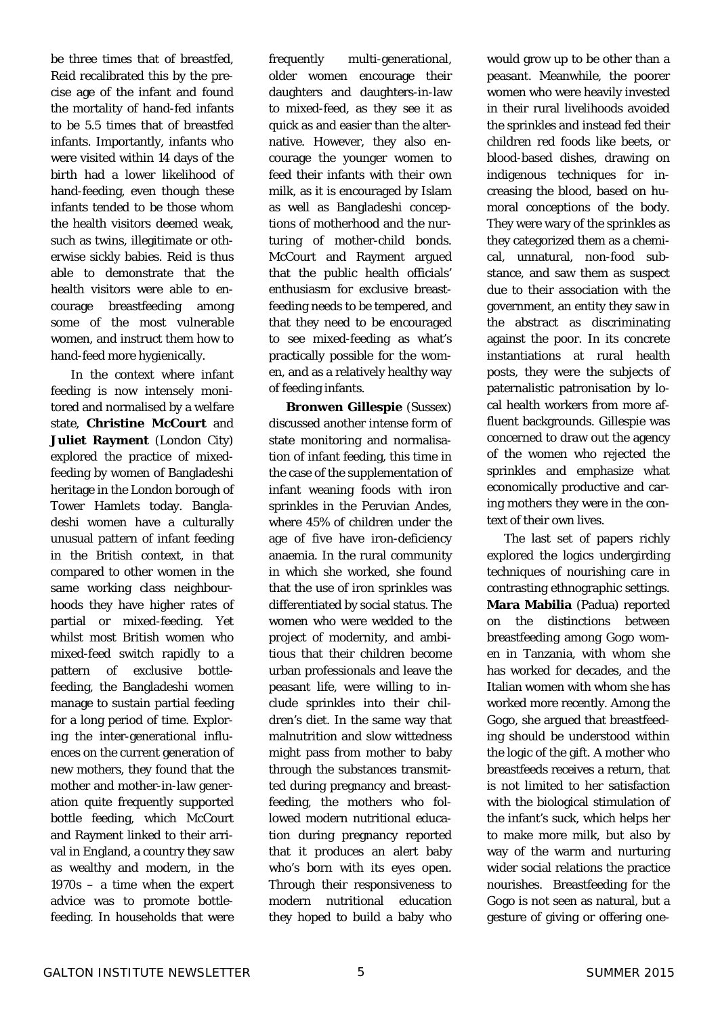be three times that of breastfed, Reid recalibrated this by the precise age of the infant and found the mortality of hand-fed infants to be 5.5 times that of breastfed infants. Importantly, infants who were visited within 14 days of the birth had a lower likelihood of hand-feeding, even though these infants tended to be those whom the health visitors deemed weak, such as twins, illegitimate or otherwise sickly babies. Reid is thus able to demonstrate that the health visitors were able to encourage breastfeeding among some of the most vulnerable women, and instruct them how to hand-feed more hygienically.

 In the context where infant feeding is now intensely monitored and normalised by a welfare state, **Christine McCourt** and **Juliet Rayment** (London City) explored the practice of mixedfeeding by women of Bangladeshi heritage in the London borough of Tower Hamlets today. Bangladeshi women have a culturally unusual pattern of infant feeding in the British context, in that compared to other women in the same working class neighbourhoods they have higher rates of partial or mixed-feeding. Yet whilst most British women who mixed-feed switch rapidly to a pattern of exclusive bottlefeeding, the Bangladeshi women manage to sustain partial feeding for a long period of time. Exploring the inter-generational influences on the current generation of new mothers, they found that the mother and mother-in-law generation quite frequently supported bottle feeding, which McCourt and Rayment linked to their arrival in England, a country they saw as wealthy and modern, in the 1970s – a time when the expert advice was to promote bottlefeeding. In households that were

frequently multi-generational, older women encourage their daughters and daughters-in-law to mixed-feed, as they see it as quick as and easier than the alternative. However, they also encourage the younger women to feed their infants with their own milk, as it is encouraged by Islam as well as Bangladeshi conceptions of motherhood and the nurturing of mother-child bonds. McCourt and Rayment argued that the public health officials' enthusiasm for exclusive breastfeeding needs to be tempered, and that they need to be encouraged to see mixed-feeding as what's practically possible for the women, and as a relatively healthy way of feeding infants.

 **Bronwen Gillespie** (Sussex) discussed another intense form of state monitoring and normalisation of infant feeding, this time in the case of the supplementation of infant weaning foods with iron sprinkles in the Peruvian Andes, where 45% of children under the age of five have iron-deficiency anaemia. In the rural community in which she worked, she found that the use of iron sprinkles was differentiated by social status. The women who were wedded to the project of modernity, and ambitious that their children become urban professionals and leave the peasant life, were willing to include sprinkles into their children's diet. In the same way that malnutrition and slow wittedness might pass from mother to baby through the substances transmitted during pregnancy and breastfeeding, the mothers who followed modern nutritional education during pregnancy reported that it produces an alert baby who's born with its eyes open. Through their responsiveness to modern nutritional education they hoped to build a baby who

would grow up to be other than a peasant. Meanwhile, the poorer women who were heavily invested in their rural livelihoods avoided the sprinkles and instead fed their children red foods like beets, or blood-based dishes, drawing on indigenous techniques for increasing the blood, based on humoral conceptions of the body. They were wary of the sprinkles as they categorized them as a chemical, unnatural, non-food substance, and saw them as suspect due to their association with the government, an entity they saw in the abstract as discriminating against the poor. In its concrete instantiations at rural health posts, they were the subjects of paternalistic patronisation by local health workers from more affluent backgrounds. Gillespie was concerned to draw out the agency of the women who rejected the sprinkles and emphasize what economically productive and caring mothers they were in the context of their own lives.

 The last set of papers richly explored the logics undergirding techniques of nourishing care in contrasting ethnographic settings. **Mara Mabilia** (Padua) reported on the distinctions between breastfeeding among Gogo women in Tanzania, with whom she has worked for decades, and the Italian women with whom she has worked more recently. Among the Gogo, she argued that breastfeeding should be understood within the logic of the gift. A mother who breastfeeds receives a return, that is not limited to her satisfaction with the biological stimulation of the infant's suck, which helps her to make more milk, but also by way of the warm and nurturing wider social relations the practice nourishes. Breastfeeding for the Gogo is not seen as natural, but a gesture of giving or offering one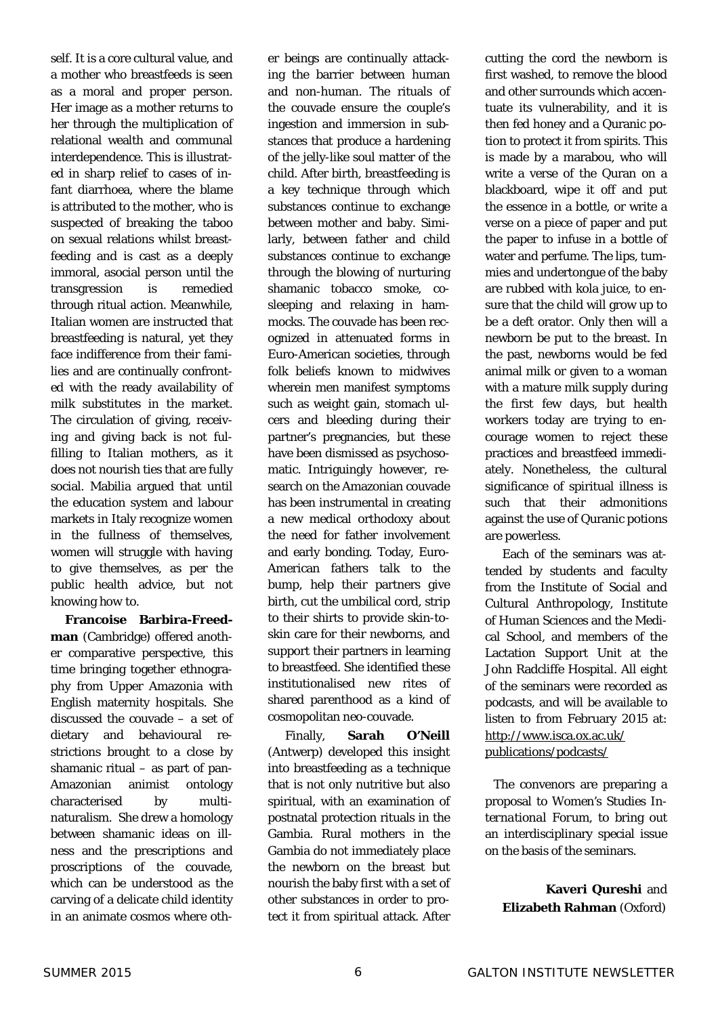self. It is a core cultural value, and a mother who breastfeeds is seen as a moral and proper person. Her image as a mother returns to her through the multiplication of relational wealth and communal interdependence. This is illustrated in sharp relief to cases of infant diarrhoea, where the blame is attributed to the mother, who is suspected of breaking the taboo on sexual relations whilst breastfeeding and is cast as a deeply immoral, asocial person until the transgression is remedied through ritual action. Meanwhile, Italian women are instructed that breastfeeding is natural, yet they face indifference from their families and are continually confronted with the ready availability of milk substitutes in the market. The circulation of giving, receiving and giving back is not fulfilling to Italian mothers, as it does not nourish ties that are fully social. Mabilia argued that until the education system and labour markets in Italy recognize women in the fullness of themselves, women will struggle with *having*  to give themselves, as per the public health advice, but not knowing *how* to.

 **Francoise Barbira-Freedman** (Cambridge) offered another comparative perspective, this time bringing together ethnography from Upper Amazonia with English maternity hospitals. She discussed the couvade – a set of dietary and behavioural restrictions brought to a close by shamanic ritual – as part of pan-Amazonian animist ontology characterised by multinaturalism. She drew a homology between shamanic ideas on illness and the prescriptions and proscriptions of the couvade, which can be understood as the carving of a delicate child identity in an animate cosmos where other beings are continually attacking the barrier between human and non-human. The rituals of the couvade ensure the couple's ingestion and immersion in substances that produce a hardening of the jelly-like soul matter of the child. After birth, breastfeeding is a key technique through which substances continue to exchange between mother and baby. Similarly, between father and child substances continue to exchange through the blowing of nurturing shamanic tobacco smoke, cosleeping and relaxing in hammocks. The couvade has been recognized in attenuated forms in Euro-American societies, through folk beliefs known to midwives wherein men manifest symptoms such as weight gain, stomach ulcers and bleeding during their partner's pregnancies, but these have been dismissed as psychosomatic. Intriguingly however, research on the Amazonian couvade has been instrumental in creating a new medical orthodoxy about the need for father involvement and early bonding. Today, Euro-American fathers talk to the bump, help their partners give birth, cut the umbilical cord, strip to their shirts to provide skin-toskin care for their newborns, and support their partners in learning to breastfeed. She identified these institutionalised new rites of shared parenthood as a kind of cosmopolitan neo-couvade.

 Finally, **Sarah O'Neill**  (Antwerp) developed this insight into breastfeeding as a technique that is not only nutritive but also spiritual, with an examination of postnatal protection rituals in the Gambia. Rural mothers in the Gambia do not immediately place the newborn on the breast but nourish the baby first with a set of other substances in order to protect it from spiritual attack. After

cutting the cord the newborn is first washed, to remove the blood and other surrounds which accentuate its vulnerability, and it is then fed honey and a Quranic potion to protect it from spirits. This is made by a marabou, who will write a verse of the Quran on a blackboard, wipe it off and put the essence in a bottle, or write a verse on a piece of paper and put the paper to infuse in a bottle of water and perfume. The lips, tummies and undertongue of the baby are rubbed with kola juice, to ensure that the child will grow up to be a deft orator. Only then will a newborn be put to the breast. In the past, newborns would be fed animal milk or given to a woman with a mature milk supply during the first few days, but health workers today are trying to encourage women to reject these practices and breastfeed immediately. Nonetheless, the cultural significance of spiritual illness is such that their admonitions against the use of Quranic potions are powerless.

 Each of the seminars was attended by students and faculty from the Institute of Social and Cultural Anthropology, Institute of Human Sciences and the Medical School, and members of the Lactation Support Unit at the John Radcliffe Hospital. All eight of the seminars were recorded as podcasts, and will be available to listen to from February 2015 at: http://www.isca.ox.ac.uk/ publications/podcasts/

 The convenors are preparing a proposal to *Women's Studies International Forum*, to bring out an interdisciplinary special issue on the basis of the seminars.

> **Kaveri Qureshi** and **Elizabeth Rahman** (Oxford)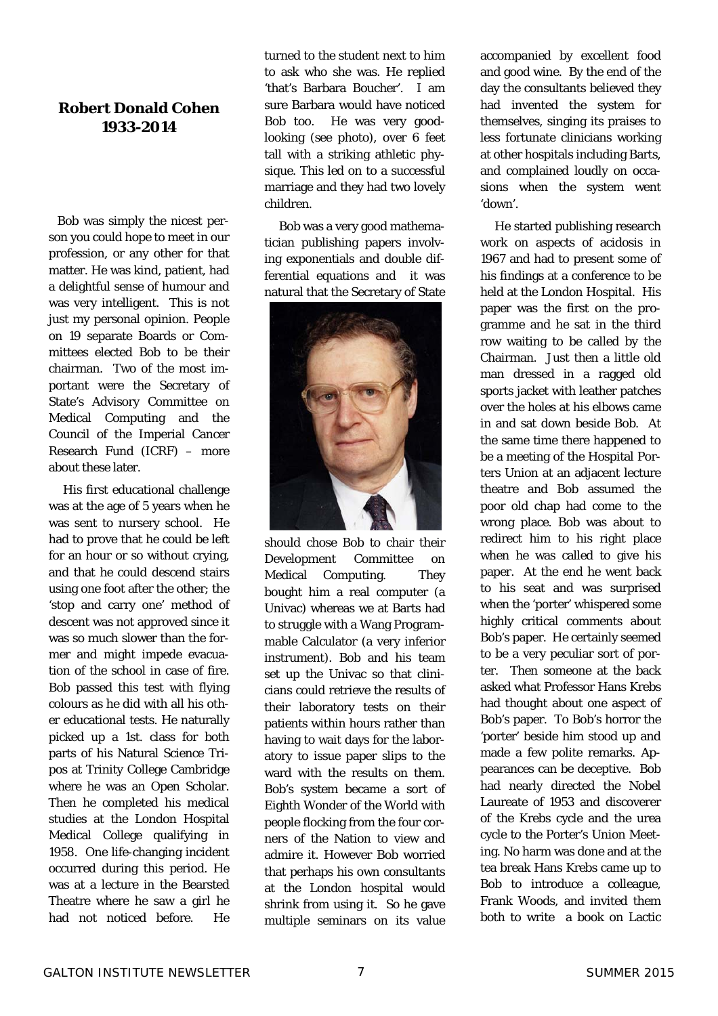# **Robert Donald Cohen 1933-2014**

Bob was simply the nicest person you could hope to meet in our profession, or any other for that matter. He was kind, patient, had a delightful sense of humour and was very intelligent. This is not just my personal opinion. People on 19 separate Boards or Committees elected Bob to be their chairman. Two of the most important were the Secretary of State's Advisory Committee on Medical Computing and the Council of the Imperial Cancer Research Fund (ICRF) – more about these later.

 His first educational challenge was at the age of 5 years when he was sent to nursery school. He had to prove that he could be left for an hour or so without crying, and that he could descend stairs using one foot after the other; the 'stop and carry one' method of descent was not approved since it was so much slower than the former and might impede evacuation of the school in case of fire. Bob passed this test with flying colours as he did with all his other educational tests. He naturally picked up a 1st. class for both parts of his Natural Science Tripos at Trinity College Cambridge where he was an Open Scholar. Then he completed his medical studies at the London Hospital Medical College qualifying in 1958. One life-changing incident occurred during this period. He was at a lecture in the Bearsted Theatre where he saw a girl he had not noticed before. He turned to the student next to him to ask who she was. He replied 'that's Barbara Boucher'. I am sure Barbara would have noticed Bob too. He was very goodlooking (see photo), over 6 feet tall with a striking athletic physique. This led on to a successful marriage and they had two lovely children.

 Bob was a very good mathematician publishing papers involving exponentials and double differential equations and it was natural that the Secretary of State



should chose Bob to chair their Development Committee on Medical Computing. They bought him a real computer (a Univac) whereas we at Barts had to struggle with a Wang Programmable Calculator (a very inferior instrument). Bob and his team set up the Univac so that clinicians could retrieve the results of their laboratory tests on their patients within hours rather than having to wait days for the laboratory to issue paper slips to the ward with the results on them. Bob's system became a sort of Eighth Wonder of the World with people flocking from the four corners of the Nation to view and admire it. However Bob worried that perhaps his own consultants at the London hospital would shrink from using it. So he gave multiple seminars on its value

accompanied by excellent food and good wine. By the end of the day the consultants believed they had invented the system for themselves, singing its praises to less fortunate clinicians working at other hospitals including Barts, and complained loudly on occasions when the system went 'down'.

 He started publishing research work on aspects of acidosis in 1967 and had to present some of his findings at a conference to be held at the London Hospital. His paper was the first on the programme and he sat in the third row waiting to be called by the Chairman. Just then a little old man dressed in a ragged old sports jacket with leather patches over the holes at his elbows came in and sat down beside Bob. At the same time there happened to be a meeting of the Hospital Porters Union at an adjacent lecture theatre and Bob assumed the poor old chap had come to the wrong place. Bob was about to redirect him to his right place when he was called to give his paper. At the end he went back to his seat and was surprised when the 'porter' whispered some highly critical comments about Bob's paper. He certainly seemed to be a very peculiar sort of porter. Then someone at the back asked what Professor Hans Krebs had thought about one aspect of Bob's paper. To Bob's horror the 'porter' beside him stood up and made a few polite remarks. Appearances can be deceptive. Bob had nearly directed the Nobel Laureate of 1953 and discoverer of the Krebs cycle and the urea cycle to the Porter's Union Meeting. No harm was done and at the tea break Hans Krebs came up to Bob to introduce a colleague, Frank Woods, and invited them both to write a book on Lactic